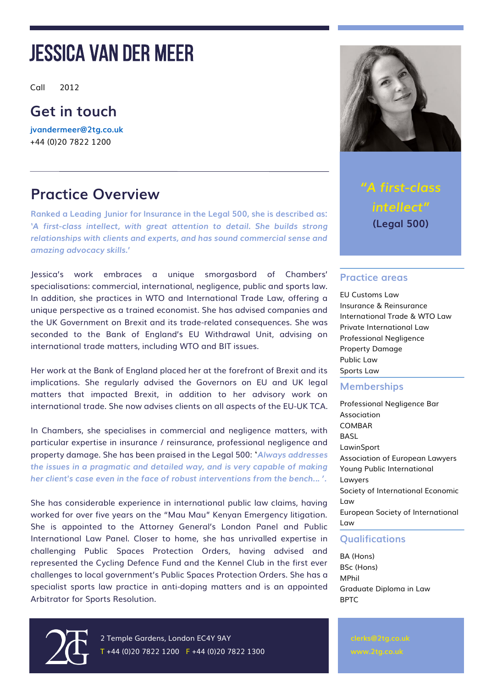Call 2012

### **Get in touch**

**[jvandermeer@2tg.co.uk](mailto:jvandermeer@2tg.co.uk)** +44 (0)20 7822 1200

### **Practice Overview**

**Ranked a Leading Junior for Insurance in the Legal 500, she is described as: '***A first-class intellect, with great attention to detail. She builds strong relationships with clients and experts, and has sound commercial sense and amazing advocacy skills.***'** 

Jessica's work embraces a unique smorgasbord of Chambers' specialisations: commercial, international, negligence, public and sports law. In addition, she practices in WTO and International Trade Law, offering a unique perspective as a trained economist. She has advised companies and the UK Government on Brexit and its trade-related consequences. She was seconded to the Bank of England's EU Withdrawal Unit, advising on international trade matters, including WTO and BIT issues.

Her work at the Bank of England placed her at the forefront of Brexit and its implications. She regularly advised the Governors on EU and UK legal matters that impacted Brexit, in addition to her advisory work on international trade. She now advises clients on all aspects of the EU-UK TCA.

In Chambers, she specialises in commercial and negligence matters, with particular expertise in insurance / reinsurance, professional negligence and property damage. She has been praised in the Legal 500: '*Always addresses the issues in a pragmatic and detailed way, and is very capable of making her client's case even in the face of robust interventions from the bench... '.*

She has considerable experience in international public law claims, having worked for over five years on the "Mau Mau" Kenyan Emergency litigation. She is appointed to the Attorney General's London Panel and Public International Law Panel. Closer to home, she has unrivalled expertise in challenging Public Spaces Protection Orders, having advised and represented the Cycling Defence Fund and the Kennel Club in the first ever challenges to local government's Public Spaces Protection Orders. She has a specialist sports law practice in anti-doping matters and is an appointed Arbitrator for Sports Resolution.



*"A first-class intellect"* **(Legal 500)**

#### **Practice areas**

EU Customs Law Insurance & Reinsurance International Trade & WTO Law Private International Law Professional Negligence Property Damage Public Law Sports Law

#### **Memberships**

Professional Negligence Bar Association COMBAR BASL LawinSport Association of European Lawyers Young Public International Lawyers Society of International Economic Law European Society of International Law

#### **Qualifications**

BA (Hons) BSc (Hons) MPhil Graduate Diploma in Law BPTC

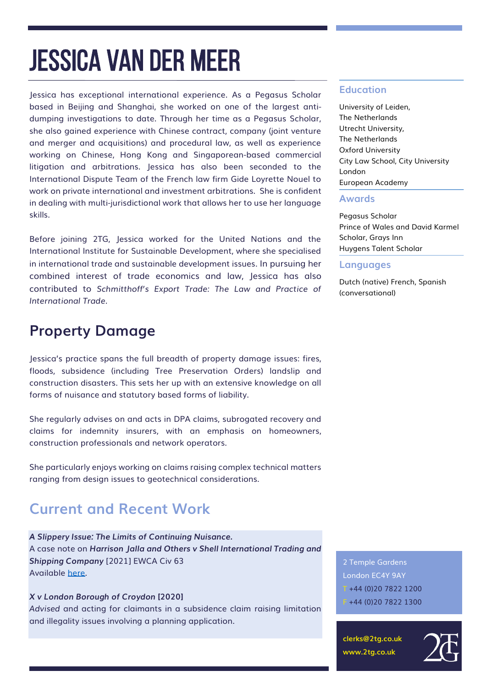Jessica has exceptional international experience. As a Pegasus Scholar based in Beijing and Shanghai, she worked on one of the largest antidumping investigations to date. Through her time as a Pegasus Scholar, she also gained experience with Chinese contract, company (joint venture and merger and acquisitions) and procedural law, as well as experience working on Chinese, Hong Kong and Singaporean-based commercial litigation and arbitrations. Jessica has also been seconded to the International Dispute Team of the French law firm Gide Loyrette Nouel to work on private international and investment arbitrations. She is confident in dealing with multi-jurisdictional work that allows her to use her language skills.

Before joining 2TG, Jessica worked for the United Nations and the International Institute for Sustainable Development, where she specialised in international trade and sustainable development issues. In pursuing her combined interest of trade economics and law, Jessica has also contributed to *Schmitthoff's Export Trade: The Law and Practice of International Trade.*

### **Property Damage**

Jessica's practice spans the full breadth of property damage issues: fires, floods, subsidence (including Tree Preservation Orders) landslip and construction disasters. This sets her up with an extensive knowledge on all forms of nuisance and statutory based forms of liability.

She regularly advises on and acts in DPA claims, subrogated recovery and claims for indemnity insurers, with an emphasis on homeowners, construction professionals and network operators.

She particularly enjoys working on claims raising complex technical matters ranging from design issues to geotechnical considerations.

### **Current and Recent Work**

*A Slippery Issue: The Limits of Continuing Nuisance.* 

A case note on *Harrison Jalla and Others v Shell International Trading and Shipping Company* [2021] EWCA Civ 63 Available [here.](https://www.linkedin.com/posts/2-temple-gardens_a-slippery-issue-the-limits-of-continuing-activity-6761955543226572800-qMnt)

*X v London Borough of Croydon* **[2020]**

*Advised* and acting for claimants in a subsidence claim raising limitation and illegality issues involving a planning application.

#### **Education**

University of Leiden, The Netherlands Utrecht University, The Netherlands Oxford University City Law School, City University London European Academy

#### **Awards**

Pegasus Scholar Prince of Wales and David Karmel Scholar, Grays Inn Huygens Talent Scholar

#### **Languages**

Dutch (native) French, Spanish (conversational)

2 Temple Gardens London EC4Y 9AY  $T + 44 (0)2078221200$ F +44 (0)20 7822 1300

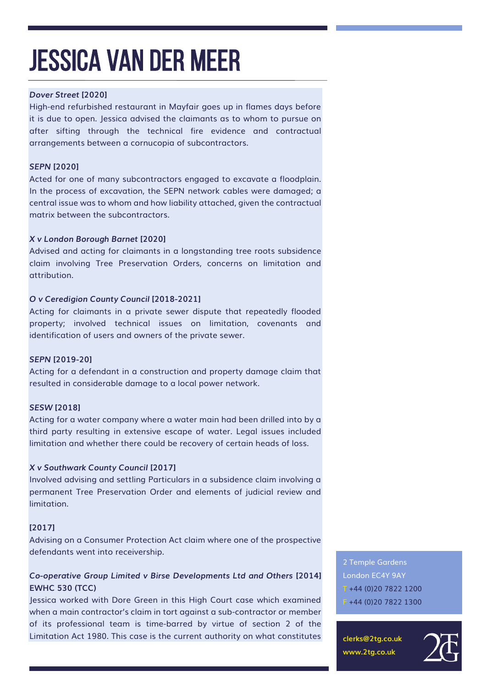#### *Dover Street* **[2020]**

High-end refurbished restaurant in Mayfair goes up in flames days before it is due to open. Jessica advised the claimants as to whom to pursue on after sifting through the technical fire evidence and contractual arrangements between a cornucopia of subcontractors.

#### *SEPN* **[2020]**

Acted for one of many subcontractors engaged to excavate a floodplain. In the process of excavation, the SEPN network cables were damaged; a central issue was to whom and how liability attached, given the contractual matrix between the subcontractors.

#### *X v London Borough Barnet* **[2020]**

Advised and acting for claimants in a longstanding tree roots subsidence claim involving Tree Preservation Orders, concerns on limitation and attribution.

#### *O v Ceredigion County Council* **[2018-2021]**

Acting for claimants in a private sewer dispute that repeatedly flooded property; involved technical issues on limitation, covenants and identification of users and owners of the private sewer.

#### *SEPN* **[2019-20]**

Acting for a defendant in a construction and property damage claim that resulted in considerable damage to a local power network.

#### *SESW* **[2018]**

Acting for a water company where a water main had been drilled into by a third party resulting in extensive escape of water. Legal issues included limitation and whether there could be recovery of certain heads of loss.

#### *X v Southwark County Council* **[2017]**

Involved advising and settling Particulars in a subsidence claim involving a permanent Tree Preservation Order and elements of judicial review and limitation.

#### **[2017]**

Advising on a Consumer Protection Act claim where one of the prospective defendants went into receivership.

#### *Co-operative Group Limited v Birse Developments Ltd and Others* **[2014] EWHC 530 (TCC)**

Jessica worked with Dore Green in this High Court case which examined when a main contractor's claim in tort against a sub-contractor or member of its professional team is time-barred by virtue of section 2 of the Limitation Act 1980. This case is the current authority on what constitutes 2 Temple Gardens London EC4Y 9AY  $T + 44 (0)2078221200$ F +44 (0)20 7822 1300

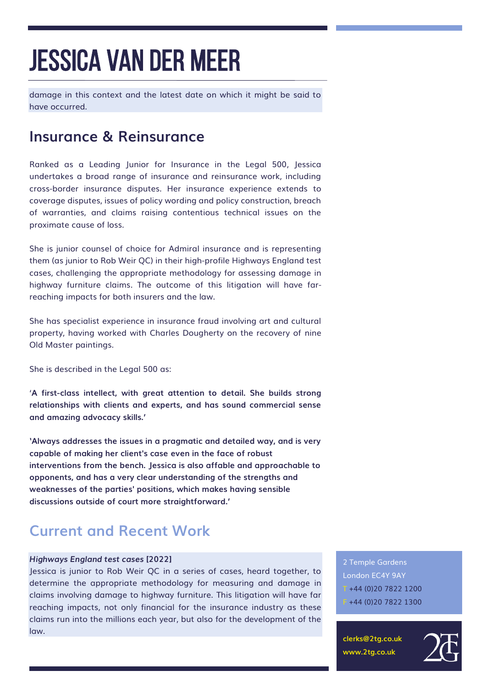damage in this context and the latest date on which it might be said to have occurred.

### **Insurance & Reinsurance**

Ranked as a Leading Junior for Insurance in the Legal 500, Jessica undertakes a broad range of insurance and reinsurance work, including cross-border insurance disputes. Her insurance experience extends to coverage disputes, issues of policy wording and policy construction, breach of warranties, and claims raising contentious technical issues on the proximate cause of loss.

She is junior counsel of choice for Admiral insurance and is representing them (as junior to Rob Weir QC) in their high-profile Highways England test cases, challenging the appropriate methodology for assessing damage in highway furniture claims. The outcome of this litigation will have farreaching impacts for both insurers and the law.

She has specialist experience in insurance fraud involving art and cultural property, having worked with Charles Dougherty on the recovery of nine Old Master paintings.

She is described in the Legal 500 as:

'**A first-class intellect, with great attention to detail. She builds strong relationships with clients and experts, and has sound commercial sense and amazing advocacy skills.'**

**'Always addresses the issues in a pragmatic and detailed way, and is very capable of making her client's case even in the face of robust interventions from the bench. Jessica is also affable and approachable to opponents, and has a very clear understanding of the strengths and weaknesses of the parties' positions, which makes having sensible discussions outside of court more straightforward.'**

### **Current and Recent Work**

#### *Highways England test cases* **[2022]**

Jessica is junior to Rob Weir QC in a series of cases, heard together, to determine the appropriate methodology for measuring and damage in claims involving damage to highway furniture. This litigation will have far reaching impacts, not only financial for the insurance industry as these claims run into the millions each year, but also for the development of the law.

2 Temple Gardens London EC4Y 9AY T +44 (0)20 7822 1200 F +44 (0)20 7822 1300

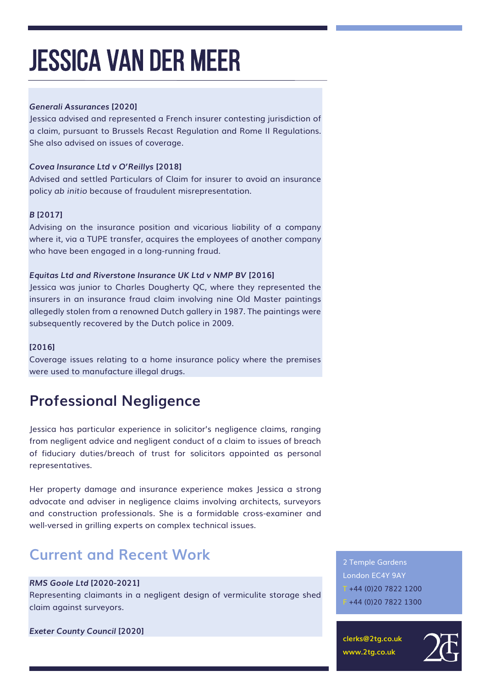#### *Generali Assurances* **[2020]**

Jessica advised and represented a French insurer contesting jurisdiction of a claim, pursuant to Brussels Recast Regulation and Rome II Regulations. She also advised on issues of coverage.

#### *Covea Insurance Ltd v O'Reillys* **[2018]**

Advised and settled Particulars of Claim for insurer to avoid an insurance policy *ab initio* because of fraudulent misrepresentation.

#### *B* **[2017]**

Advising on the insurance position and vicarious liability of a company where it, via a TUPE transfer, acquires the employees of another company who have been engaged in a long-running fraud.

#### *Equitas Ltd and Riverstone Insurance UK Ltd v NMP BV* **[2016]**

Jessica was junior to Charles Dougherty QC, where they represented the insurers in an insurance fraud claim involving nine Old Master paintings allegedly stolen from a renowned Dutch gallery in 1987. The paintings were subsequently recovered by the Dutch police in 2009.

#### **[2016]**

Coverage issues relating to a home insurance policy where the premises were used to manufacture illegal drugs.

## **Professional Negligence**

Jessica has particular experience in solicitor's negligence claims, ranging from negligent advice and negligent conduct of a claim to issues of breach of fiduciary duties/breach of trust for solicitors appointed as personal representatives.

Her property damage and insurance experience makes Jessica a strong advocate and adviser in negligence claims involving architects, surveyors and construction professionals. She is a formidable cross-examiner and well-versed in grilling experts on complex technical issues.

## **Current and Recent Work**

#### *RMS Goole Ltd* **[2020-2021]**

Representing claimants in a negligent design of vermiculite storage shed claim against surveyors.

*Exeter County Council* **[2020]**

2 Temple Gardens London EC4Y 9AY T +44 (0)20 7822 1200 F +44 (0)20 7822 1300

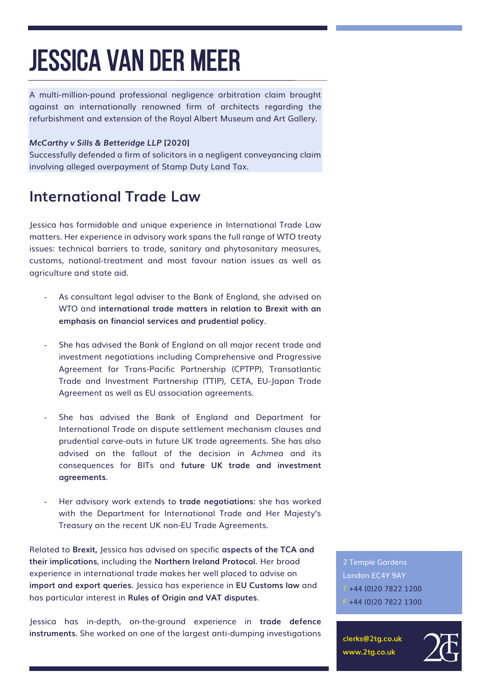A multi-million-pound professional negligence arbitration claim brought against an internationally renowned firm of architects regarding the refurbishment and extension of the Royal Albert Museum and Art Gallery.

#### *McCarthy v Sills & Betteridge LLP* **[2020]**

Successfully defended a firm of solicitors in a negligent conveyancing claim involving alleged overpayment of Stamp Duty Land Tax.

### **International Trade Law**

Jessica has formidable and unique experience in International Trade Law matters. Her experience in advisory work spans the full range of WTO treaty issues: technical barriers to trade, sanitary and phytosanitary measures, customs, national-treatment and most favour nation issues as well as agriculture and state aid.

- As consultant legal adviser to the Bank of England, she advised on WTO and **international trade matters in relation to Brexit with an emphasis on financial services and prudential policy**.
- She has advised the Bank of England on all major recent trade and investment negotiations including Comprehensive and Progressive Agreement for Trans-Pacific Partnership (CPTPP), Transatlantic Trade and Investment Partnership (TTIP), CETA, EU-Japan Trade Agreement as well as EU association agreements.
- She has advised the Bank of England and Department for International Trade on dispute settlement mechanism clauses and prudential carve-outs in future UK trade agreements. She has also advised on the fallout of the decision in *Achmea* and its consequences for BITs and **future UK trade and investment agreements**.
- Her advisory work extends to **trade negotiations**: she has worked with the Department for International Trade and Her Majesty's Treasury on the recent UK non-EU Trade Agreements.

Related to **Brexit,** Jessica has advised on specific **aspects of the TCA and their implications**, including the **Northern Ireland Protocol**. Her broad experience in international trade makes her well placed to advise on **import and export queries**. Jessica has experience in **EU Customs law** and has particular interest in **Rules of Origin and VAT disputes**.

Jessica has in-depth, on-the-ground experience in **trade defence instruments**. She worked on one of the largest anti-dumping investigations

2 Temple Gardens London EC4Y 9AY  $T + 44 (0)2078221200$ F +44 (0)20 7822 1300

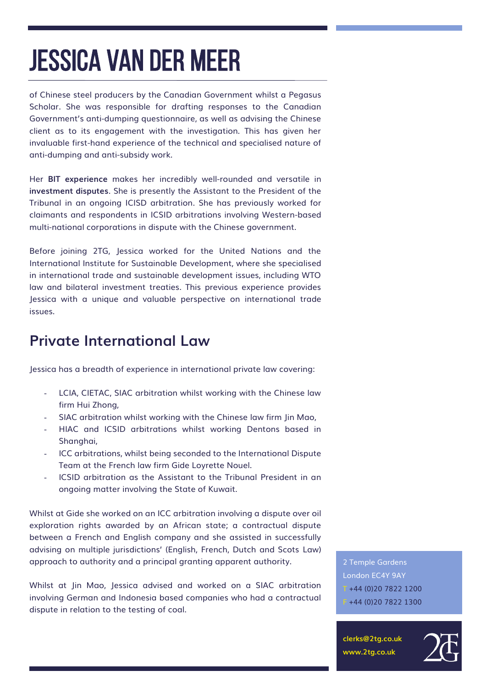of Chinese steel producers by the Canadian Government whilst a Pegasus Scholar. She was responsible for drafting responses to the Canadian Government's anti-dumping questionnaire, as well as advising the Chinese client as to its engagement with the investigation. This has given her invaluable first-hand experience of the technical and specialised nature of anti-dumping and anti-subsidy work.

Her **BIT experience** makes her incredibly well-rounded and versatile in **investment disputes**. She is presently the Assistant to the President of the Tribunal in an ongoing ICISD arbitration. She has previously worked for claimants and respondents in ICSID arbitrations involving Western-based multi-national corporations in dispute with the Chinese government.

Before joining 2TG, Jessica worked for the United Nations and the International Institute for Sustainable Development, where she specialised in international trade and sustainable development issues, including WTO law and bilateral investment treaties. This previous experience provides Jessica with a unique and valuable perspective on international trade issues.

### **Private International Law**

Jessica has a breadth of experience in international private law covering:

- LCIA, CIETAC, SIAC arbitration whilst working with the Chinese law firm Hui Zhong,
- SIAC arbitration whilst working with the Chinese law firm Jin Mao,
- HIAC and ICSID arbitrations whilst working Dentons based in Shanghai,
- ICC arbitrations, whilst being seconded to the International Dispute Team at the French law firm Gide Loyrette Nouel.
- ICSID arbitration as the Assistant to the Tribunal President in an ongoing matter involving the State of Kuwait.

Whilst at Gide she worked on an ICC arbitration involving a dispute over oil exploration rights awarded by an African state; a contractual dispute between a French and English company and she assisted in successfully advising on multiple jurisdictions' (English, French, Dutch and Scots Law) approach to authority and a principal granting apparent authority.

Whilst at Jin Mao, Jessica advised and worked on a SIAC arbitration involving German and Indonesia based companies who had a contractual dispute in relation to the testing of coal.

2 Temple Gardens London EC4Y 9AY  $T + 44 (0)2078221200$ F +44 (0)20 7822 1300

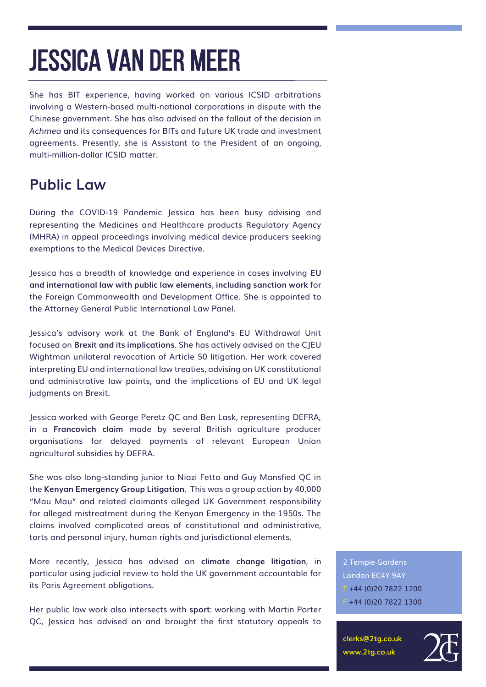She has BIT experience, having worked on various ICSID arbitrations involving a Western-based multi-national corporations in dispute with the Chinese government. She has also advised on the fallout of the decision in *Achmea* and its consequences for BITs and future UK trade and investment agreements. Presently, she is Assistant to the President of an ongoing, multi-million-dollar ICSID matter.

## **Public Law**

During the COVID-19 Pandemic Jessica has been busy advising and representing the Medicines and Healthcare products Regulatory Agency (MHRA) in appeal proceedings involving medical device producers seeking exemptions to the Medical Devices Directive.

Jessica has a breadth of knowledge and experience in cases involving **EU and international law with public law elements**, **including sanction work** for the Foreign Commonwealth and Development Office. She is appointed to the Attorney General Public International Law Panel.

Jessica's advisory work at the Bank of England's EU Withdrawal Unit focused on **Brexit and its implications**. She has actively advised on the CJEU Wightman unilateral revocation of Article 50 litigation. Her work covered interpreting EU and international law treaties, advising on UK constitutional and administrative law points, and the implications of EU and UK legal judgments on Brexit.

Jessica worked with George Peretz QC and Ben Lask, representing DEFRA, in a **Francovich claim** made by several British agriculture producer organisations for delayed payments of relevant European Union agricultural subsidies by DEFRA.

She was also long-standing junior to Niazi Fetto and Guy Mansfied QC in the **Kenyan Emergency Group Litigation**. This was a group action by 40,000 "Mau Mau" and related claimants alleged UK Government responsibility for alleged mistreatment during the Kenyan Emergency in the 1950s. The claims involved complicated areas of constitutional and administrative, torts and personal injury, human rights and jurisdictional elements.

More recently, Jessica has advised on **climate change litigation**, in particular using judicial review to hold the UK government accountable for its Paris Agreement obligations.

Her public law work also intersects with **sport**: working with Martin Porter QC, Jessica has advised on and brought the first statutory appeals to

2 Temple Gardens London EC4Y 9AY  $T + 44 (0)2078221200$ F +44 (0)20 7822 1300

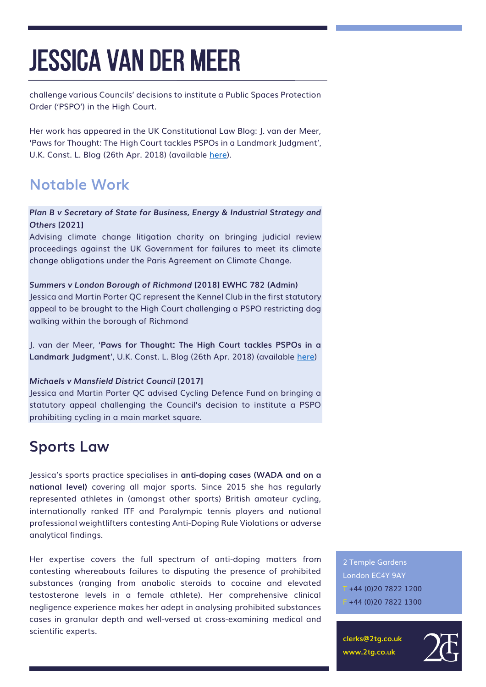challenge various Councils' decisions to institute a Public Spaces Protection Order ('PSPO') in the High Court.

Her work has appeared in the UK Constitutional Law Blog: J. van der Meer, 'Paws for Thought: The High Court tackles PSPOs in a Landmark Judgment', U.K. Const. L. Blog (26th Apr. 2018) (available [here\)](https://ukconstitutionallaw.org/2018/04/26/jessica-van-der-meer-paws-for-thought-the-high-court-tackles-pspos-in-a-landmark-judgment/).

## **Notable Work**

#### *Plan B v Secretary of State for Business, Energy & Industrial Strategy and Others* **[2021]**

Advising climate change litigation charity on bringing judicial review proceedings against the UK Government for failures to meet its climate change obligations under the Paris Agreement on Climate Change.

*Summers v London Borough of Richmond* **[2018] EWHC 782 (Admin)** Jessica and Martin Porter QC represent the Kennel Club in the first statutory appeal to be brought to the High Court challenging a PSPO restricting dog walking within the borough of Richmond

J. van der Meer, '**Paws for Thought: The High Court tackles PSPOs in a Landmark Judgment**', U.K. Const. L. Blog (26th Apr. 2018) (available [here\)](https://ukconstitutionallaw.org/2018/04/26/jessica-van-der-meer-paws-for-thought-the-high-court-tackles-pspos-in-a-landmark-judgment/)

#### *Michaels v Mansfield District Council* **[2017]**

Jessica and Martin Porter QC advised Cycling Defence Fund on bringing a statutory appeal challenging the Council's decision to institute a PSPO prohibiting cycling in a main market square.

### **Sports Law**

Jessica's sports practice specialises in **anti-doping cases (WADA and on a national level)** covering all major sports. Since 2015 she has regularly represented athletes in (amongst other sports) British amateur cycling, internationally ranked ITF and Paralympic tennis players and national professional weightlifters contesting Anti-Doping Rule Violations or adverse analytical findings.

Her expertise covers the full spectrum of anti-doping matters from contesting whereabouts failures to disputing the presence of prohibited substances (ranging from anabolic steroids to cocaine and elevated testosterone levels in a female athlete). Her comprehensive clinical negligence experience makes her adept in analysing prohibited substances cases in granular depth and well-versed at cross-examining medical and scientific experts.

2 Temple Gardens London EC4Y 9AY T +44 (0)20 7822 1200  $-+44(0)2078221300$ 

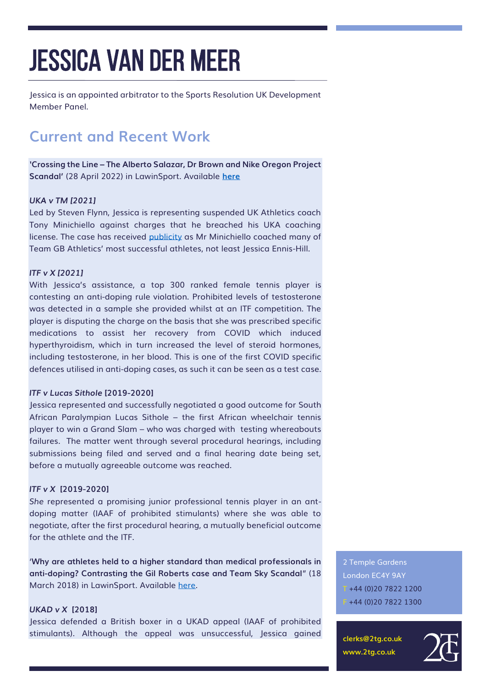Jessica is an appointed arbitrator to the Sports Resolution UK Development Member Panel.

## **Current and Recent Work**

*'***Crossing the Line – The Alberto Salazar, Dr Brown and Nike Oregon Project Scandal'** (28 April 2022) in LawinSport. Available **[here](https://www.lawinsport.com/topics/item/crossing-the-line-the-salazar-brown-nike-oregon-project-scandal)**

#### *UKA v TM [2021]*

Led by Steven Flynn, Jessica is representing suspended UK Athletics coach Tony Minichiello against charges that he breached his UKA coaching license. The case has received [publicity](https://www.theguardian.com/sport/2021/jul/05/toni-minichiello-suspended-and-under-investigation-says-uk-athletics) as Mr Minichiello coached many of Team GB Athletics' most successful athletes, not least Jessica Ennis-Hill.

#### *ITF v X [2021]*

With Jessica's assistance, a top 300 ranked female tennis player is contesting an anti-doping rule violation. Prohibited levels of testosterone was detected in a sample she provided whilst at an ITF competition. The player is disputing the charge on the basis that she was prescribed specific medications to assist her recovery from COVID which induced hyperthyroidism, which in turn increased the level of steroid hormones, including testosterone, in her blood. This is one of the first COVID specific defences utilised in anti-doping cases, as such it can be seen as a test case.

#### *ITF v Lucas Sithole* **[2019-2020]**

Jessica represented and successfully negotiated a good outcome for South African Paralympian Lucas Sithole – the first African wheelchair tennis player to win a Grand Slam – who was charged with testing whereabouts failures. The matter went through several procedural hearings, including submissions being filed and served and a final hearing date being set, before a mutually agreeable outcome was reached.

#### *ITF v X* **[2019-2020]**

*She* represented a promising junior professional tennis player in an antdoping matter (IAAF of prohibited stimulants) where she was able to negotiate, after the first procedural hearing, a mutually beneficial outcome for the athlete and the ITF.

'**Why are athletes held to a higher standard than medical professionals in anti-doping? Contrasting the Gil Roberts case and Team Sky Scandal**" (18 March 2018) in LawinSport. Available [here.](https://www.lawinsport.com/topics/sports/item/why-are-athletes-held-to-a-higher-standard-than-medical-professionals-in-anti-doping-contrasting-the-gil-roberts-case-and-team-sky-scandal?category_id=697)

#### *UKAD v X* **[2018]**

Jessica defended a British boxer in a UKAD appeal (IAAF of prohibited stimulants). Although the appeal was unsuccessful, Jessica gained 2 Temple Gardens London EC4Y 9AY  $T + 44 (0)2078221200$ F +44 (0)20 7822 1300